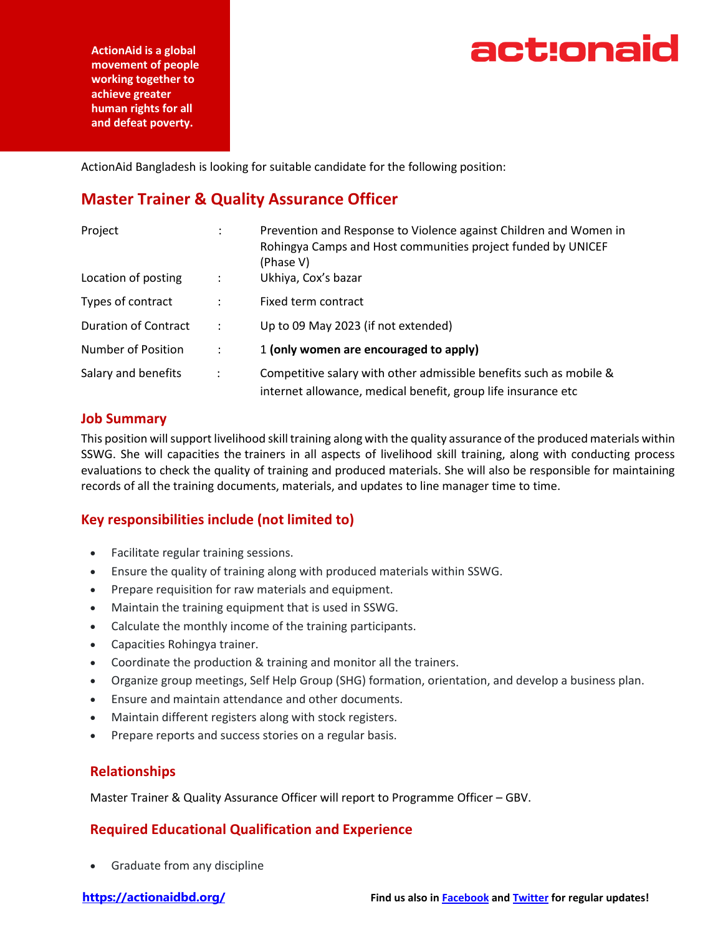

**ActionAid is a global movement of people working together to achieve greater human rights for all and defeat poverty.**

ActionAid Bangladesh is looking for suitable candidate for the following position:

## **Master Trainer & Quality Assurance Officer**

| Project                     | ÷                    | Prevention and Response to Violence against Children and Women in<br>Rohingya Camps and Host communities project funded by UNICEF<br>(Phase V) |
|-----------------------------|----------------------|------------------------------------------------------------------------------------------------------------------------------------------------|
| Location of posting         |                      | Ukhiya, Cox's bazar                                                                                                                            |
| Types of contract           | $\ddot{\phantom{a}}$ | Fixed term contract                                                                                                                            |
| <b>Duration of Contract</b> | $\ddot{\phantom{a}}$ | Up to 09 May 2023 (if not extended)                                                                                                            |
| <b>Number of Position</b>   | ÷                    | 1 (only women are encouraged to apply)                                                                                                         |
| Salary and benefits         | $\ddot{\cdot}$       | Competitive salary with other admissible benefits such as mobile &<br>internet allowance, medical benefit, group life insurance etc            |

#### **Job Summary**

This position will support livelihood skill training along with the quality assurance of the produced materials within SSWG. She will capacities the trainers in all aspects of livelihood skill training, along with conducting process evaluations to check the quality of training and produced materials. She will also be responsible for maintaining records of all the training documents, materials, and updates to line manager time to time.

### **Key responsibilities include (not limited to)**

- Facilitate regular training sessions.
- Ensure the quality of training along with produced materials within SSWG.
- Prepare requisition for raw materials and equipment.
- Maintain the training equipment that is used in SSWG.
- Calculate the monthly income of the training participants.
- Capacities Rohingya trainer.
- Coordinate the production & training and monitor all the trainers.
- Organize group meetings, Self Help Group (SHG) formation, orientation, and develop a business plan.
- Ensure and maintain attendance and other documents.
- Maintain different registers along with stock registers.
- Prepare reports and success stories on a regular basis.

#### **Relationships**

Master Trainer & Quality Assurance Officer will report to Programme Officer – GBV.

#### **Required Educational Qualification and Experience**

• Graduate from any discipline